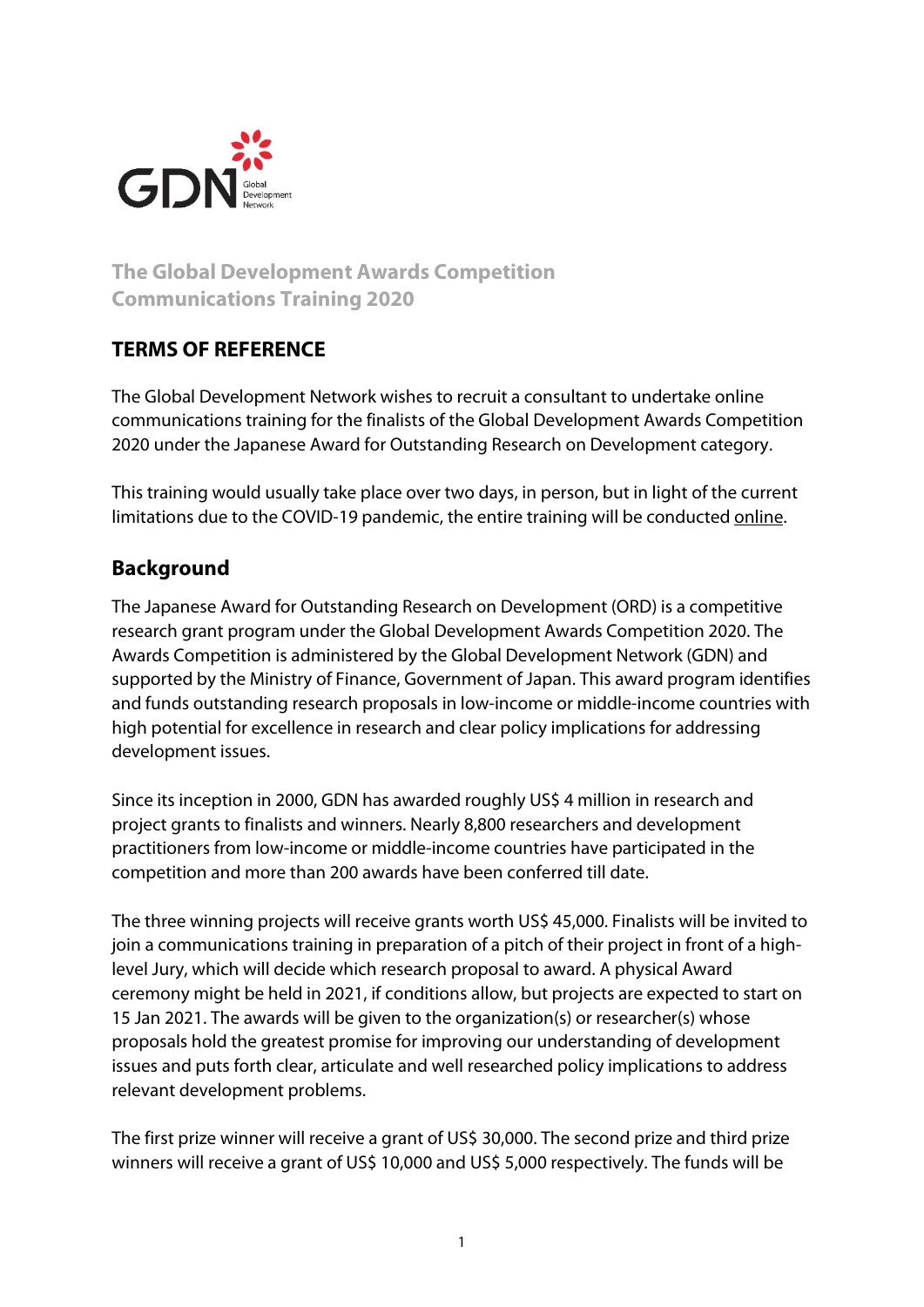

# **The Global Development Awards Competition Communications Training 2020**

### **TERMS OF REFERENCE**

The Global Development Network wishes to recruit a consultant to undertake online communications training for the finalists of the Global Development Awards Competition 2020 under the Japanese Award for Outstanding Research on Development category.

This training would usually take place over two days, in person, but in light of the current limitations due to the COVID-19 pandemic, the entire training will be conducted online.

## **Background**

The Japanese Award for Outstanding Research on Development (ORD) is a competitive research grant program under the Global Development Awards Competition 2020. The Awards Competition is administered by the Global Development Network (GDN) and supported by the Ministry of Finance, Government of Japan. This award program identifies and funds outstanding research proposals in low-income or middle-income countries with high potential for excellence in research and clear policy implications for addressing development issues.

Since its inception in 2000, GDN has awarded roughly US\$ 4 million in research and project grants to finalists and winners. Nearly 8,800 researchers and development practitioners from low-income or middle-income countries have participated in the competition and more than 200 awards have been conferred till date.

The three winning projects will receive grants worth US\$ 45,000. Finalists will be invited to join a communications training in preparation of a pitch of their project in front of a highlevel Jury, which will decide which research proposal to award. A physical Award ceremony might be held in 2021, if conditions allow, but projects are expected to start on 15 Jan 2021. The awards will be given to the organization(s) or researcher(s) whose proposals hold the greatest promise for improving our understanding of development issues and puts forth clear, articulate and well researched policy implications to address relevant development problems.

The first prize winner will receive a grant of US\$ 30,000. The second prize and third prize winners will receive a grant of US\$ 10,000 and US\$ 5,000 respectively. The funds will be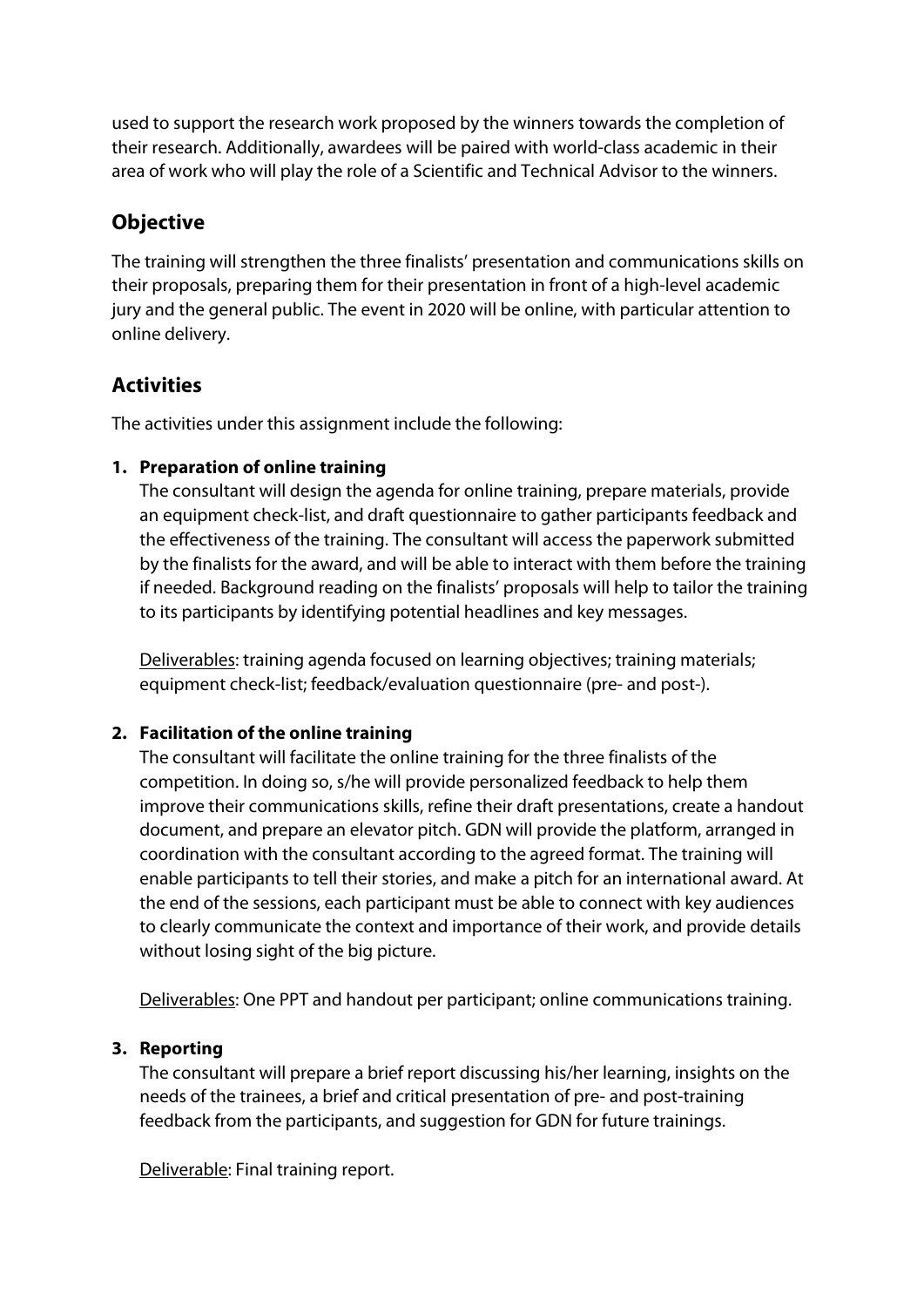used to support the research work proposed by the winners towards the completion of their research. Additionally, awardees will be paired with world-class academic in their area of work who will play the role of a Scientific and Technical Advisor to the winners.

## **Objective**

The training will strengthen the three finalists' presentation and communications skills on their proposals, preparing them for their presentation in front of a high-level academic jury and the general public. The event in 2020 will be online, with particular attention to online delivery.

## **Activities**

The activities under this assignment include the following:

#### **1. Preparation of online training**

The consultant will design the agenda for online training, prepare materials, provide an equipment check-list, and draft questionnaire to gather participants feedback and the effectiveness of the training. The consultant will access the paperwork submitted by the finalists for the award, and will be able to interact with them before the training if needed. Background reading on the finalists' proposals will help to tailor the training to its participants by identifying potential headlines and key messages.

Deliverables: training agenda focused on learning objectives; training materials; equipment check-list; feedback/evaluation questionnaire (pre- and post-).

### **2. Facilitation of the online training**

The consultant will facilitate the online training for the three finalists of the competition. In doing so, s/he will provide personalized feedback to help them improve their communications skills, refine their draft presentations, create a handout document, and prepare an elevator pitch. GDN will provide the platform, arranged in coordination with the consultant according to the agreed format. The training will enable participants to tell their stories, and make a pitch for an international award. At the end of the sessions, each participant must be able to connect with key audiences to clearly communicate the context and importance of their work, and provide details without losing sight of the big picture.

Deliverables: One PPT and handout per participant; online communications training.

### **3. Reporting**

The consultant will prepare a brief report discussing his/her learning, insights on the needs of the trainees, a brief and critical presentation of pre- and post-training feedback from the participants, and suggestion for GDN for future trainings.

Deliverable: Final training report.